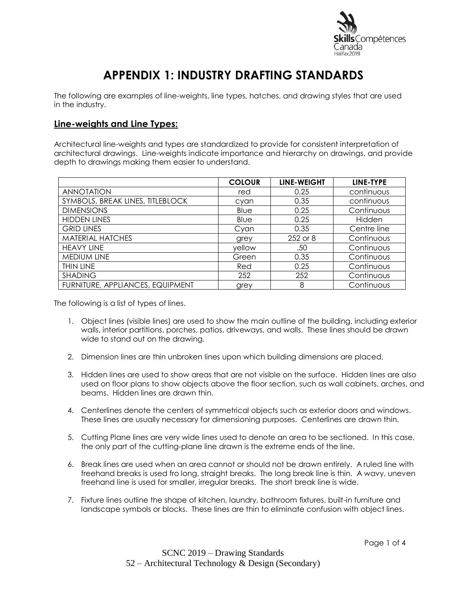

# **APPENDIX 1: INDUSTRY DRAFTING STANDARDS**

The following are examples of line-weights, line types, hatches, and drawing styles that are used in the industry.

## **Line-weights and Line Types:**

Architectural line-weights and types are standardized to provide for consistent interpretation of architectural drawings. Line-weights indicate importance and hierarchy on drawings, and provide depth to drawings making them easier to understand.

|                                  | <b>COLOUR</b> | <b>LINE-WEIGHT</b> | LINE-TYPE   |
|----------------------------------|---------------|--------------------|-------------|
| <b>ANNOTATION</b>                | red           | 0.25               | continuous  |
| SYMBOLS, BREAK LINES, TITLEBLOCK | cyan          | 0.35               | continuous  |
| <b>DIMENSIONS</b>                | Blue          | 0.25               | Continuous  |
| <b>HIDDEN LINES</b>              | Blue          | 0.25               | Hidden      |
| <b>GRID LINES</b>                | Cyan          | 0.35               | Centre line |
| <b>MATERIAL HATCHES</b>          | grey          | 252 or 8           | Continuous  |
| <b>HEAVY LINE</b>                | yellow        | .50                | Continuous  |
| MEDIUM LINE                      | Green         | 0.35               | Continuous  |
| THIN LINE                        | Red           | 0.25               | Continuous  |
| <b>SHADING</b>                   | 252           | 252                | Continuous  |
| FURNITURE, APPLIANCES, EQUIPMENT | grey          | 8                  | Continuous  |

The following is a list of types of lines.

- 1. Object lines (visible lines) are used to show the main outline of the building, including exterior walls, interior partitions, porches, patios, driveways, and walls. These lines should be drawn wide to stand out on the drawing.
- 2. Dimension lines are thin unbroken lines upon which building dimensions are placed.
- 3. Hidden lines are used to show areas that are not visible on the surface. Hidden lines are also used on floor plans to show objects above the floor section, such as wall cabinets, arches, and beams. Hidden lines are drawn thin.
- 4. Centerlines denote the centers of symmetrical objects such as exterior doors and windows. These lines are usually necessary for dimensioning purposes. Centerlines are drawn thin.
- 5. Cutting Plane lines are very wide lines used to denote an area to be sectioned. In this case, the only part of the cutting-plane line drawn is the extreme ends of the line.
- 6. Break lines are used when an area cannot or should not be drawn entirely. A ruled line with freehand breaks is used fro long, straight breaks. The long break line is thin. A wavy, uneven freehand line is used for smaller, irregular breaks. The short break line is wide.
- 7. Fixture lines outline the shape of kitchen, laundry, bathroom fixtures, built-in furniture and landscape symbols or blocks. These lines are thin to eliminate confusion with object lines.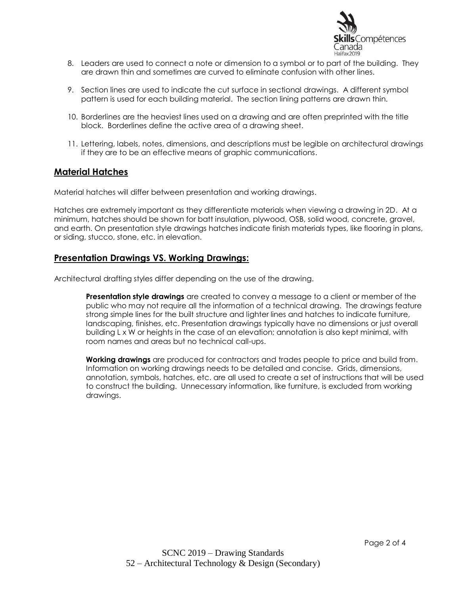

- 8. Leaders are used to connect a note or dimension to a symbol or to part of the building. They are drawn thin and sometimes are curved to eliminate confusion with other lines.
- 9. Section lines are used to indicate the cut surface in sectional drawings. A different symbol pattern is used for each building material. The section lining patterns are drawn thin.
- 10. Borderlines are the heaviest lines used on a drawing and are often preprinted with the title block. Borderlines define the active area of a drawing sheet.
- 11. Lettering, labels, notes, dimensions, and descriptions must be legible on architectural drawings if they are to be an effective means of graphic communications.

#### **Material Hatches**

Material hatches will differ between presentation and working drawings.

Hatches are extremely important as they differentiate materials when viewing a drawing in 2D. At a minimum, hatches should be shown for batt insulation, plywood, OSB, solid wood, concrete, gravel, and earth. On presentation style drawings hatches indicate finish materials types, like flooring in plans, or siding, stucco, stone, etc. in elevation.

#### **Presentation Drawings VS. Working Drawings:**

Architectural drafting styles differ depending on the use of the drawing.

**Presentation style drawings** are created to convey a message to a client or member of the public who may not require all the information of a technical drawing. The drawings feature strong simple lines for the built structure and lighter lines and hatches to indicate furniture, landscaping, finishes, etc. Presentation drawings typically have no dimensions or just overall building L x W or heights in the case of an elevation; annotation is also kept minimal, with room names and areas but no technical call-ups.

**Working drawings** are produced for contractors and trades people to price and build from. Information on working drawings needs to be detailed and concise. Grids, dimensions, annotation, symbols, hatches, etc. are all used to create a set of instructions that will be used to construct the building. Unnecessary information, like furniture, is excluded from working drawings.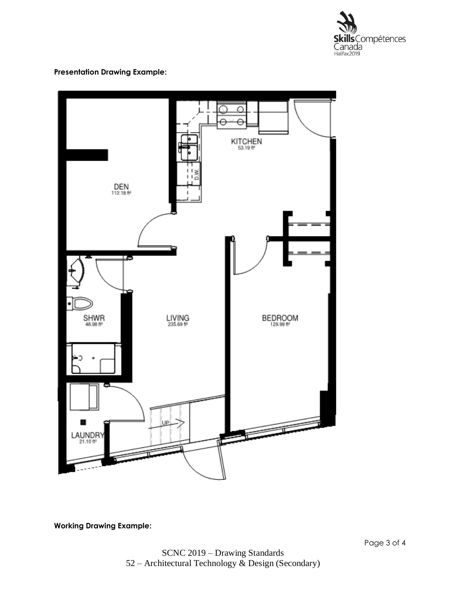

### **Presentation Drawing Example:**



**Working Drawing Example:**